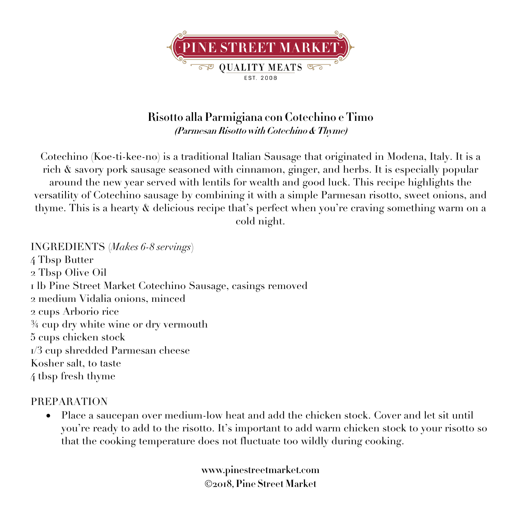

## **Risotto alla Parmigiana con Cotechino e Timo (Parmesan Risotto with Cotechino & Thyme)**

Cotechino (Koe-ti-kee-no) is a traditional Italian Sausage that originated in Modena, Italy. It is a rich & savory pork sausage seasoned with cinnamon, ginger, and herbs. It is especially popular around the new year served with lentils for wealth and good luck. This recipe highlights the versatility of Cotechino sausage by combining it with a simple Parmesan risotto, sweet onions, and thyme. This is a hearty & delicious recipe that's perfect when you're craving something warm on a cold night.

INGREDIENTS (*Makes 6-8 servings*) Tbsp Butter Tbsp Olive Oil lb Pine Street Market Cotechino Sausage, casings removed medium Vidalia onions, minced cups Arborio rice ¾ cup dry white wine or dry vermouth cups chicken stock /3 cup shredded Parmesan cheese Kosher salt, to taste tbsp fresh thyme

## PREPARATION

• Place a saucepan over medium-low heat and add the chicken stock. Cover and let sit until you're ready to add to the risotto. It's important to add warm chicken stock to your risotto so that the cooking temperature does not fluctuate too wildly during cooking.

> **www.pinestreetmarket.com** Ó**2018, Pine Street Market**